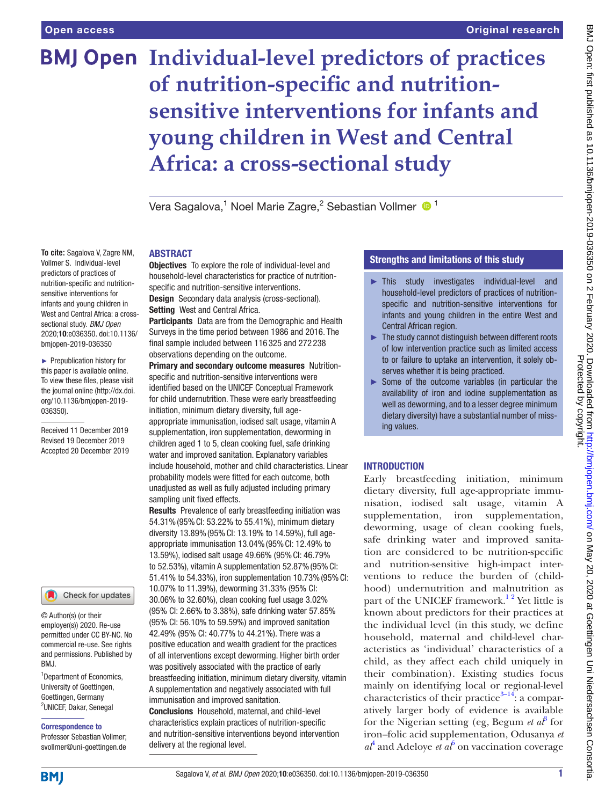# **BMJ Open Individual-level predictors of practices of nutrition-specific and nutritionsensitive interventions for infants and young children in West and Central Africa: a cross-sectional study**

Vera Sagalova,<sup>1</sup> Noel Marie Zagre,<sup>2</sup> Sebastian Vollmer <sup>10</sup>

# **ARSTRACT**

Objectives To explore the role of individual-level and household-level characteristics for practice of nutritionspecific and nutrition-sensitive interventions.

Design Secondary data analysis (cross-sectional). Setting West and Central Africa.

Participants Data are from the Demographic and Health Surveys in the time period between 1986 and 2016. The final sample included between 116 325 and 272 238 observations depending on the outcome.

Primary and secondary outcome measures Nutritionspecific and nutrition-sensitive interventions were identified based on the UNICEF Conceptual Framework for child undernutrition. These were early breastfeeding initiation, minimum dietary diversity, full age-

appropriate immunisation, iodised salt usage, vitamin A supplementation, iron supplementation, deworming in children aged 1 to 5, clean cooking fuel, safe drinking water and improved sanitation. Explanatory variables include household, mother and child characteristics. Linear probability models were fitted for each outcome, both unadjusted as well as fully adjusted including primary sampling unit fixed effects.

Results Prevalence of early breastfeeding initiation was 54.31%(95%CI: 53.22% to 55.41%), minimum dietary diversity 13.89%(95%CI: 13.19% to 14.59%), full ageappropriate immunisation 13.04%(95%CI: 12.49% to 13.59%), iodised salt usage 49.66% (95%CI: 46.79% to 52.53%), vitamin A supplementation 52.87%(95%CI: 51.41% to 54.33%), iron supplementation 10.73%(95%CI: 10.07% to 11.39%), deworming 31.33% (95% CI: 30.06% to 32.60%), clean cooking fuel usage 3.02% (95% CI: 2.66% to 3.38%), safe drinking water 57.85% (95% CI: 56.10% to 59.59%) and improved sanitation 42.49% (95% CI: 40.77% to 44.21%). There was a positive education and wealth gradient for the practices of all interventions except deworming. Higher birth order was positively associated with the practice of early breastfeeding initiation, minimum dietary diversity, vitamin A supplementation and negatively associated with full immunisation and improved sanitation.

Conclusions Household, maternal, and child-level characteristics explain practices of nutrition-specific and nutrition-sensitive interventions beyond intervention delivery at the regional level.

# Strengths and limitations of this study

- ► This study investigates individual-level and household-level predictors of practices of nutritionspecific and nutrition-sensitive interventions for infants and young children in the entire West and Central African region.
- ► The study cannot distinguish between different roots of low intervention practice such as limited access to or failure to uptake an intervention, it solely observes whether it is being practiced.
- ► Some of the outcome variables (in particular the availability of iron and iodine supplementation as well as deworming, and to a lesser degree minimum dietary diversity) have a substantial number of missing values.

# **INTRODUCTION**

Early breastfeeding initiation, minimum dietary diversity, full age-appropriate immunisation, iodised salt usage, vitamin A supplementation, iron supplementation, deworming, usage of clean cooking fuels, safe drinking water and improved sanitation are considered to be nutrition-specific and nutrition-sensitive high-impact interventions to reduce the burden of (childhood) undernutrition and malnutrition as part of the UNICEF framework.<sup>12</sup> Yet little is known about predictors for their practices at the individual level (in this study, we define household, maternal and child-level characteristics as 'individual' characteristics of a child, as they affect each child uniquely in their combination). Existing studies focus mainly on identifying local or regional-level characteristics of their practice<sup>3-14</sup>: a comparatively larger body of evidence is available for the Nigerian setting (eg, Begum  $et\ a^{\beta}$  for iron–folic acid supplementation, Odusanya *et*   $a<sup>t</sup>$  and Adeloye *et al*<sup>[6](#page-8-3)</sup> on vaccination coverage

**To cite:** Sagalova V, Zagre NM, Vollmer S. Individual-level predictors of practices of nutrition-specific and nutritionsensitive interventions for infants and young children in West and Central Africa: a crosssectional study. *BMJ Open* 2020;10:e036350. doi:10.1136/ bmjopen-2019-036350

► Prepublication history for this paper is available online. To view these files, please visit the journal online (http://dx.doi. org/10.1136/bmjopen-2019- 036350).

Received 11 December 2019 Revised 19 December 2019 Accepted 20 December 2019



© Author(s) (or their employer(s)) 2020. Re-use permitted under CC BY-NC. No commercial re-use. See rights and permissions. Published by RM<sub>J</sub>

<sup>1</sup>Department of Economics, University of Goettingen, Goettingen, Germany <sup>2</sup>UNICEF, Dakar, Senegal

Correspondence to

Professor Sebastian Vollmer; svollmer@uni-goettingen.de

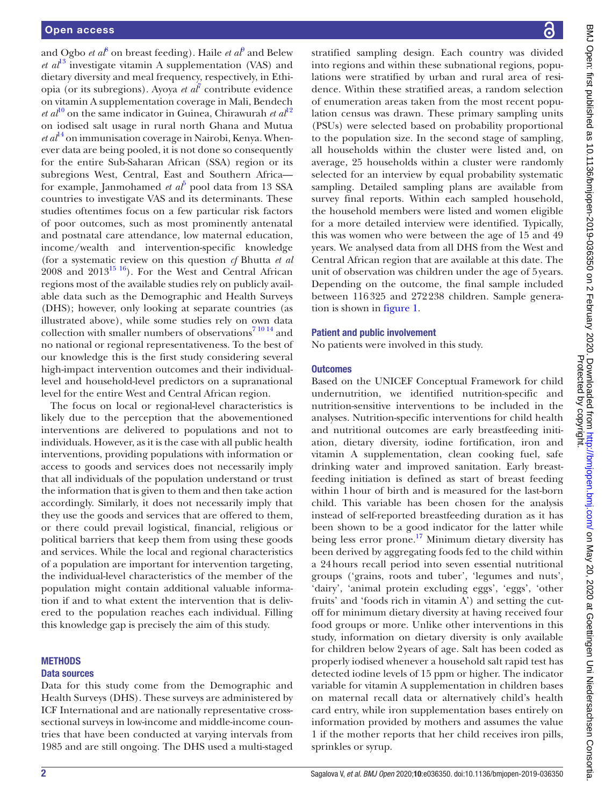and Ogbo *et al*<sup>[8](#page-8-4)</sup> on breast feeding). Haile *et al*<sup>8</sup> and Belew *et al*[13](#page-8-6) investigate vitamin A supplementation (VAS) and dietary diversity and meal frequency, respectively, in Ethiopia (or its subregions). Ayoya *et al*[7](#page-8-7) contribute evidence on vitamin A supplementation coverage in Mali, Bendech *et al*<sup>10</sup> on the same indicator in Guinea, Chirawurah *et al*<sup>[12](#page-8-9)</sup> on iodised salt usage in rural north Ghana and Mutua  $et al<sup>14</sup>$  on immunisation coverage in Nairobi, Kenya. Whenever data are being pooled, it is not done so consequently for the entire Sub-Saharan African (SSA) region or its subregions West, Central, East and Southern Africa for example, Janmohamed *et al*<sup> $\delta$ </sup> pool data from 13 SSA countries to investigate VAS and its determinants. These studies oftentimes focus on a few particular risk factors of poor outcomes, such as most prominently antenatal and postnatal care attendance, low maternal education, income/wealth and intervention-specific knowledge (for a systematic review on this question *cf* Bhutta *et al*  $2008$  and  $2013^{15}$  16). For the West and Central African regions most of the available studies rely on publicly available data such as the Demographic and Health Surveys (DHS); however, only looking at separate countries (as illustrated above), while some studies rely on own data collection with smaller numbers of observations $71014$  and no national or regional representativeness. To the best of our knowledge this is the first study considering several high-impact intervention outcomes and their individuallevel and household-level predictors on a supranational level for the entire West and Central African region.

The focus on local or regional-level characteristics is likely due to the perception that the abovementioned interventions are delivered to populations and not to individuals. However, as it is the case with all public health interventions, providing populations with information or access to goods and services does not necessarily imply that all individuals of the population understand or trust the information that is given to them and then take action accordingly. Similarly, it does not necessarily imply that they use the goods and services that are offered to them, or there could prevail logistical, financial, religious or political barriers that keep them from using these goods and services. While the local and regional characteristics of a population are important for intervention targeting, the individual-level characteristics of the member of the population might contain additional valuable information if and to what extent the intervention that is delivered to the population reaches each individual. Filling this knowledge gap is precisely the aim of this study.

# **METHODS**

# Data sources

Data for this study come from the Demographic and Health Surveys (DHS). These surveys are administered by ICF International and are nationally representative crosssectional surveys in low-income and middle-income countries that have been conducted at varying intervals from 1985 and are still ongoing. The DHS used a multi-staged

stratified sampling design. Each country was divided into regions and within these subnational regions, populations were stratified by urban and rural area of residence. Within these stratified areas, a random selection of enumeration areas taken from the most recent population census was drawn. These primary sampling units (PSUs) were selected based on probability proportional to the population size. In the second stage of sampling, all households within the cluster were listed and, on average, 25 households within a cluster were randomly selected for an interview by equal probability systematic sampling. Detailed sampling plans are available from survey final reports. Within each sampled household, the household members were listed and women eligible for a more detailed interview were identified. Typically, this was women who were between the age of 15 and 49 years. We analysed data from all DHS from the West and Central African region that are available at this date. The unit of observation was children under the age of 5years. Depending on the outcome, the final sample included between 116325 and 272238 children. Sample generation is shown in [figure](#page-2-0) 1.

### Patient and public involvement

No patients were involved in this study.

# **Outcomes**

Based on the UNICEF Conceptual Framework for child undernutrition, we identified nutrition-specific and nutrition-sensitive interventions to be included in the analyses. Nutrition-specific interventions for child health and nutritional outcomes are early breastfeeding initiation, dietary diversity, iodine fortification, iron and vitamin A supplementation, clean cooking fuel, safe drinking water and improved sanitation. Early breastfeeding initiation is defined as start of breast feeding within 1hour of birth and is measured for the last-born child. This variable has been chosen for the analysis instead of self-reported breastfeeding duration as it has been shown to be a good indicator for the latter while being less error prone.<sup>17</sup> Minimum dietary diversity has been derived by aggregating foods fed to the child within a 24hours recall period into seven essential nutritional groups ('grains, roots and tuber', 'legumes and nuts', 'dairy', 'animal protein excluding eggs', 'eggs', 'other fruits' and 'foods rich in vitamin A') and setting the cutoff for minimum dietary diversity at having received four food groups or more. Unlike other interventions in this study, information on dietary diversity is only available for children below 2years of age. Salt has been coded as properly iodised whenever a household salt rapid test has detected iodine levels of 15 ppm or higher. The indicator variable for vitamin A supplementation in children bases on maternal recall data or alternatively child's health card entry, while iron supplementation bases entirely on information provided by mothers and assumes the value 1 if the mother reports that her child receives iron pills, sprinkles or syrup.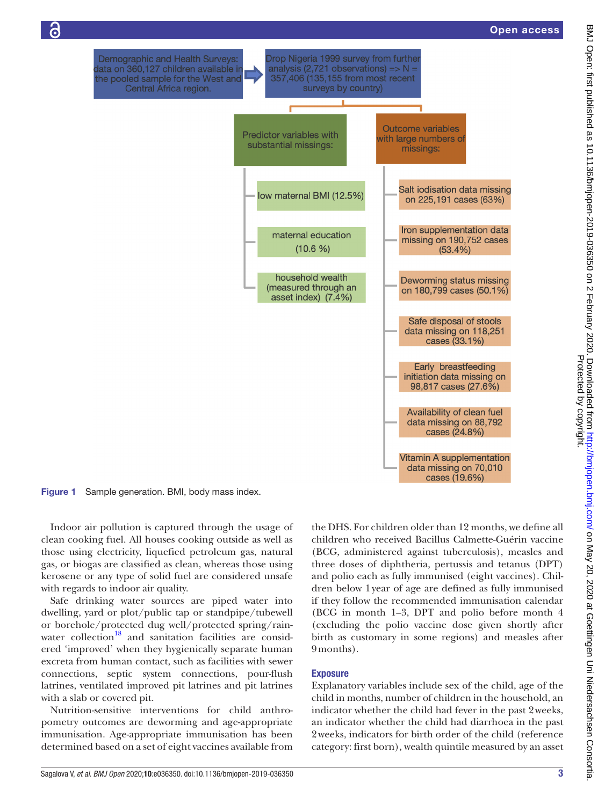

<span id="page-2-0"></span>Figure 1 Sample generation. BMI, body mass index.

Indoor air pollution is captured through the usage of clean cooking fuel. All houses cooking outside as well as those using electricity, liquefied petroleum gas, natural gas, or biogas are classified as clean, whereas those using kerosene or any type of solid fuel are considered unsafe with regards to indoor air quality.

Safe drinking water sources are piped water into dwelling, yard or plot/public tap or standpipe/tubewell or borehole/protected dug well/protected spring/rainwater collection $18$  and sanitation facilities are considered 'improved' when they hygienically separate human excreta from human contact, such as facilities with sewer connections, septic system connections, pour-flush latrines, ventilated improved pit latrines and pit latrines with a slab or covered pit.

Nutrition-sensitive interventions for child anthropometry outcomes are deworming and age-appropriate immunisation. Age-appropriate immunisation has been determined based on a set of eight vaccines available from the DHS. For children older than 12 months, we define all children who received Bacillus Calmette-Guérin vaccine (BCG, administered against tuberculosis), measles and three doses of diphtheria, pertussis and tetanus (DPT) and polio each as fully immunised (eight vaccines). Children below 1year of age are defined as fully immunised if they follow the recommended immunisation calendar (BCG in month 1–3, DPT and polio before month 4 (excluding the polio vaccine dose given shortly after birth as customary in some regions) and measles after 9months).

data missing on 70,010 cases (19.6%)

# **Exposure**

Explanatory variables include sex of the child, age of the child in months, number of children in the household, an indicator whether the child had fever in the past 2weeks, an indicator whether the child had diarrhoea in the past 2weeks, indicators for birth order of the child (reference category: first born), wealth quintile measured by an asset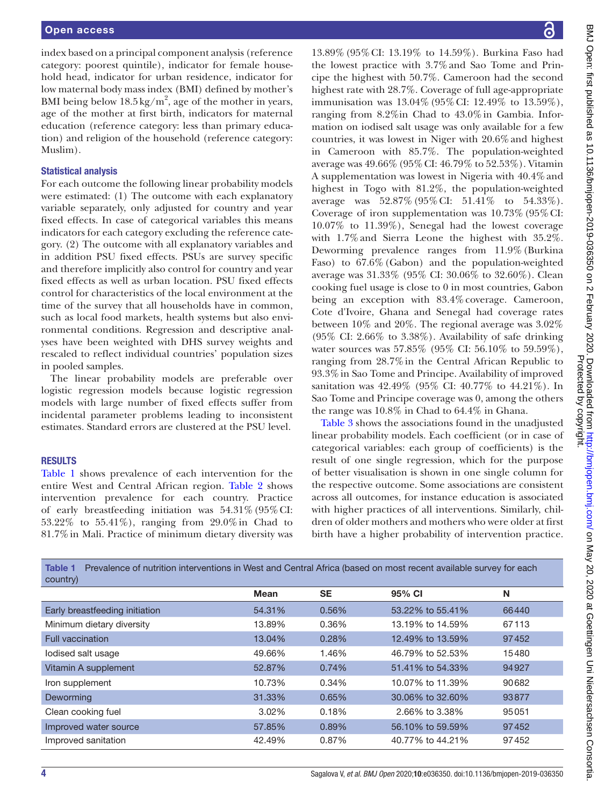index based on a principal component analysis (reference category: poorest quintile), indicator for female household head, indicator for urban residence, indicator for low maternal body mass index (BMI) defined by mother's BMI being below  $18.5 \,\mathrm{kg/m^2}$ , age of the mother in years, age of the mother at first birth, indicators for maternal education (reference category: less than primary education) and religion of the household (reference category: Muslim).

# Statistical analysis

For each outcome the following linear probability models were estimated: (1) The outcome with each explanatory variable separately, only adjusted for country and year fixed effects. In case of categorical variables this means indicators for each category excluding the reference category. (2) The outcome with all explanatory variables and in addition PSU fixed effects. PSUs are survey specific and therefore implicitly also control for country and year fixed effects as well as urban location. PSU fixed effects control for characteristics of the local environment at the time of the survey that all households have in common, such as local food markets, health systems but also environmental conditions. Regression and descriptive analyses have been weighted with DHS survey weights and rescaled to reflect individual countries' population sizes in pooled samples.

The linear probability models are preferable over logistic regression models because logistic regression models with large number of fixed effects suffer from incidental parameter problems leading to inconsistent estimates. Standard errors are clustered at the PSU level.

# **RESULTS**

[Table](#page-3-0) 1 shows prevalence of each intervention for the entire West and Central African region. [Table](#page-4-0) 2 shows intervention prevalence for each country. Practice of early breastfeeding initiation was 54.31%(95%CI: 53.22% to 55.41%), ranging from 29.0%in Chad to 81.7%in Mali. Practice of minimum dietary diversity was

13.89%(95%CI: 13.19% to 14.59%). Burkina Faso had the lowest practice with 3.7%and Sao Tome and Principe the highest with 50.7%. Cameroon had the second highest rate with 28.7%. Coverage of full age-appropriate immunisation was 13.04%(95%CI: 12.49% to 13.59%), ranging from 8.2%in Chad to 43.0%in Gambia. Information on iodised salt usage was only available for a few countries, it was lowest in Niger with 20.6%and highest in Cameroon with 85.7%. The population-weighted average was 49.66%(95%CI: 46.79% to 52.53%). Vitamin A supplementation was lowest in Nigeria with  $40.4\%$  and highest in Togo with 81.2%, the population-weighted average was 52.87%(95%CI: 51.41% to 54.33%). Coverage of iron supplementation was 10.73%(95%CI: 10.07% to 11.39%), Senegal had the lowest coverage with 1.7%and Sierra Leone the highest with 35.2%. Deworming prevalence ranges from 11.9%(Burkina Faso) to 67.6%(Gabon) and the population-weighted average was 31.33% (95% CI: 30.06% to 32.60%). Clean cooking fuel usage is close to 0 in most countries, Gabon being an exception with 83.4% coverage. Cameroon, Cote d'Ivoire, Ghana and Senegal had coverage rates between 10% and 20%. The regional average was 3.02% (95% CI: 2.66% to 3.38%). Availability of safe drinking water sources was 57.85% (95% CI: 56.10% to 59.59%), ranging from 28.7%in the Central African Republic to 93.3%in Sao Tome and Principe. Availability of improved sanitation was 42.49% (95% CI: 40.77% to 44.21%). In Sao Tome and Principe coverage was 0, among the others the range was 10.8% in Chad to 64.4% in Ghana.

[Table](#page-5-0) 3 shows the associations found in the unadjusted linear probability models. Each coefficient (or in case of categorical variables: each group of coefficients) is the result of one single regression, which for the purpose of better visualisation is shown in one single column for the respective outcome. Some associations are consistent across all outcomes, for instance education is associated with higher practices of all interventions. Similarly, children of older mothers and mothers who were older at first birth have a higher probability of intervention practice.

<span id="page-3-0"></span>

| Prevalence of nutrition interventions in West and Central Africa (based on most recent available survey for each<br>Table 1<br>country) |             |           |                  |       |
|-----------------------------------------------------------------------------------------------------------------------------------------|-------------|-----------|------------------|-------|
|                                                                                                                                         | <b>Mean</b> | <b>SE</b> | 95% CI           | N     |
| Early breastfeeding initiation                                                                                                          | 54.31%      | 0.56%     | 53.22% to 55.41% | 66440 |
| Minimum dietary diversity                                                                                                               | 13.89%      | 0.36%     | 13.19% to 14.59% | 67113 |
| <b>Full vaccination</b>                                                                                                                 | 13.04%      | 0.28%     | 12.49% to 13.59% | 97452 |
| lodised salt usage                                                                                                                      | 49.66%      | 1.46%     | 46.79% to 52.53% | 15480 |
| Vitamin A supplement                                                                                                                    | 52,87%      | 0.74%     | 51.41% to 54.33% | 94927 |
| Iron supplement                                                                                                                         | 10.73%      | 0.34%     | 10.07% to 11.39% | 90682 |
| Deworming                                                                                                                               | 31.33%      | 0.65%     | 30.06% to 32.60% | 93877 |
| Clean cooking fuel                                                                                                                      | 3.02%       | 0.18%     | 2.66% to 3.38%   | 95051 |
| Improved water source                                                                                                                   | 57.85%      | 0.89%     | 56.10% to 59.59% | 97452 |
| Improved sanitation                                                                                                                     | 42.49%      | 0.87%     | 40.77% to 44.21% | 97452 |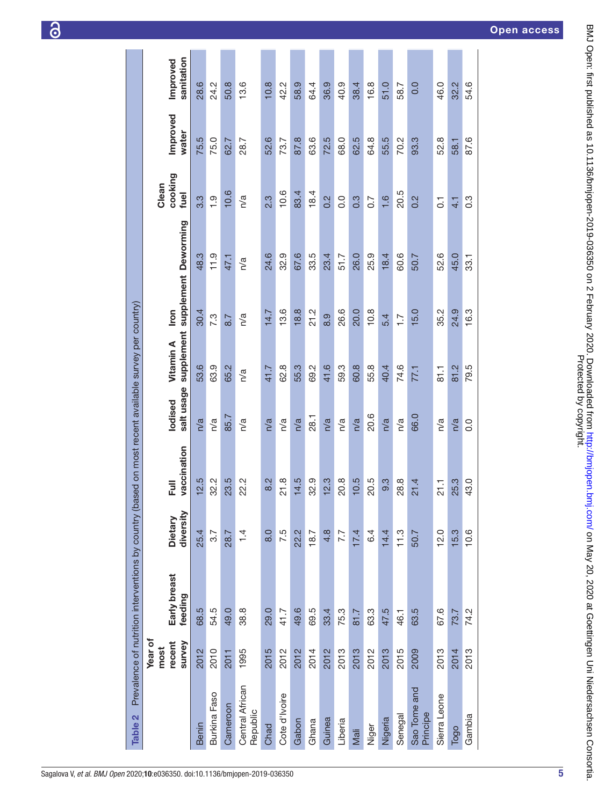|                                                                                                      | sanitation<br>Improved              | 28.6         | 24.2          | 50.8     | 13.6                        | 10.8 | 42.2          | 58.9  | 64.4  | 36.9   | 40.9    | 38.4 | 16.8  | 51.0    | 58.7             | 0.0                      | 46.0           | 32.2 | 54.6             |
|------------------------------------------------------------------------------------------------------|-------------------------------------|--------------|---------------|----------|-----------------------------|------|---------------|-------|-------|--------|---------|------|-------|---------|------------------|--------------------------|----------------|------|------------------|
|                                                                                                      | Improved<br>water                   | 75.5         | 75.0          | 62.7     | 28.7                        | 52.6 | 73.7          | 87.8  | 63.6  | 72.5   | 68.0    | 62.5 | 64.8  | 55.5    | 70.2             | 93.3                     | 52.8           | 58.1 | 87.6             |
|                                                                                                      | cooking<br>Clean<br>fuel            | 3.3          | $\frac{0}{1}$ | 10.6     | n/a                         | 2.3  | 10.6          | 83.4  | 18.4  | 0.2    | 0.0     | 0.3  | 0.7   | 1.6     | 20.5             | $\frac{2}{5}$            | $\overline{C}$ | 4.1  | ი<br>O           |
|                                                                                                      | supplement Deworming                | 48.3         | 11.9          | 47.1     | n/a                         | 24.6 | 32.9          | 67.6  | 33.5  | 23.4   | 51.7    | 26.0 | 25.9  | 18.4    | 60.6             | 50.7                     | 52.6           | 45.0 | 33.1             |
|                                                                                                      | Iron                                | 30.4         | 7.3           | 8.7      | n/a                         | 14.7 | 13.6          | 18.8  | 21.2  | 0.9    | 26.6    | 20.0 | 10.8  | 5.4     | $\overline{1}$ . | 15.0                     | 35.2           | 24.9 | 16.3             |
|                                                                                                      | supplement<br>Vitamin A             | 53.6         | 63.9          | 65.2     | n/a                         | 41.7 | 62.8          | 55.3  | 69.2  | 41.6   | 59.3    | 60.8 | 55.8  | 40.4    | 74.6             | <b>77.1</b>              | $\frac{1}{8}$  | 81.2 | 79.5             |
|                                                                                                      | salt usage<br>lodised               | n/a          | n/a           | 85.7     | n/a                         | n/a  | n/a           | n/a   | 28.1  | n/a    | n/a     | n/a  | 20.6  | n/a     | n/a              | 66.0                     | n/a            | n/a  | $\overline{0}$ . |
|                                                                                                      | vaccination<br>長                    | 12.5         | 32.2          | 23.5     | 22.2                        | 8.2  | 21.8          | 14.5  | 32.9  | 12.3   | 20.8    | 10.5 | 20.5  | 9.3     | 28.8             | 21.4                     | 21.1           | 25.3 | 43.0             |
|                                                                                                      | diversity<br>Dietary                | 25.4         | 3.7           | 28.7     | 1.4                         | 8.0  | 7.5           | 22.2  | 18.7  | 4.8    | 7.7     | 17.4 | 6.4   | 14.4    | 11.3             | 50.7                     | 12.0           | 15.3 | 10.6             |
| Prevalence of nutrition interventions by country (based on most recent available survey per country) | Early breast<br>feeding             | 68.5         | 54.5          | 49.0     | 38.8                        | 29.0 | 41.7          | 49.6  | 69.5  | 33.4   | 75.3    | 81.7 | 63.3  | 47.5    | 46.1             | 63.5                     | 67.6           | 73.7 | 74.2             |
|                                                                                                      | Year of<br>recent<br>survey<br>most | 2012         | 2010          | 2011     | 1995                        | 2015 | 2012          | 2012  | 2014  | 2012   | 2013    | 2013 | 2012  | 2013    | 2015             | 2009                     | 2013           | 2014 | 2013             |
| Table 2                                                                                              |                                     | <b>Benin</b> | Burkina Faso  | Cameroon | Central African<br>Republic | Chad | Cote d'Ivoire | Gabon | Ghana | Guinea | Liberia | Mali | Niger | Nigeria | Senegal          | Sao Tome and<br>Principe | Sierra Leone   | Togo | Gambia           |

<span id="page-4-0"></span>5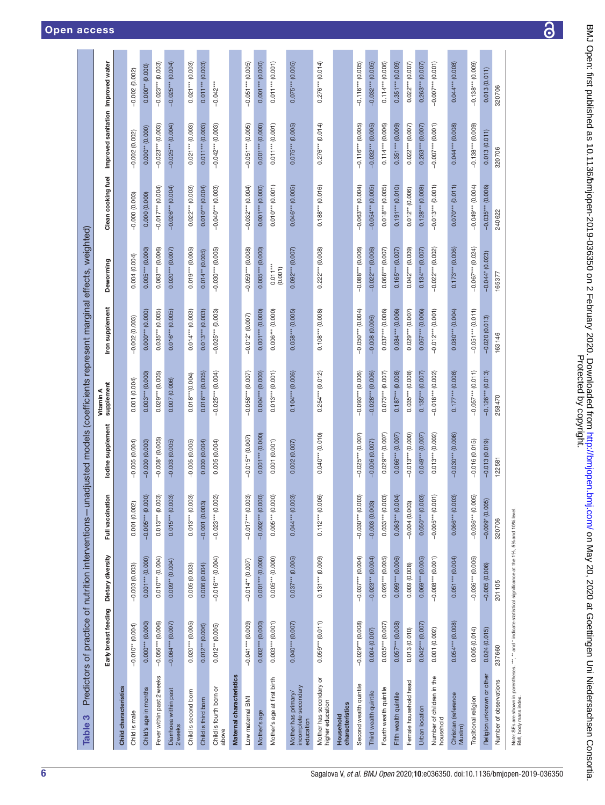| က<br><b>Table</b>                                                                                                                       | Predictors of practice of nutrition interventions – unadjusted models (coefficients represent marginal effects, weighted) |                      |                      |                     |                         |                     |                       |                     |                                    |                      |
|-----------------------------------------------------------------------------------------------------------------------------------------|---------------------------------------------------------------------------------------------------------------------------|----------------------|----------------------|---------------------|-------------------------|---------------------|-----------------------|---------------------|------------------------------------|----------------------|
|                                                                                                                                         | Early breast feeding                                                                                                      | Dietary diversity    | Full vaccination     | lodine supplement   | Vitamin A<br>supplement | Iron supplement     | Deworming             | Clean cooking fuel  | Improved sanitation Improved water |                      |
| Child characteristics                                                                                                                   |                                                                                                                           |                      |                      |                     |                         |                     |                       |                     |                                    |                      |
| Child is male                                                                                                                           | $-0.010**$ (0.004)                                                                                                        | $-0.003(0.003)$      | 0.001 (0.002)        | $-0.005(0.004)$     | 0.001 (0.004)           | $-0.002(0.003)$     | 0.004(0.004)          | $-0.000(0.003)$     | $-0.002(0.002)$                    | $-0.002(0.002)$      |
| Child's age in months                                                                                                                   | $0.000***$ (0.000)                                                                                                        | $0.001***$ (0.000)   | $-0.005***$ (0.000)  | $-0.000(0.000)$     | $0.003***$ (0.000)      | $0.000***$ (0.000)  | $0.005***$ (0.000)    | 0.000 (0.000)       | $0.000**$ (0.000)                  | $0.000**$ $(0.000)$  |
| Fever within past 2 weeks                                                                                                               | $-0.056***$ (0.006)                                                                                                       | $0.010***$ (0.004)   | $0.013***$ $(0.003)$ | $-0.008*(0.005)$    | $0.029***$ (0.005)      | $0.035***$ (0.005)  | $0.063***$ (0.006)    | $-0.017***$ (0.004) | $-0.023***$ (0.003)                | $-0.023***$ (0.003)  |
| Diarrhoea within past<br>2 weeks                                                                                                        | $-0.064***$ (0.007)                                                                                                       | $0.009**$ (0.004)    | $0.015***$ (0.003)   | $-0.003(0.005)$     | 0.007(0.006)            | $0.016***$ (0.005)  | $0.020***$ $(0.007)$  | $-0.026***$ (0.004) | $-0.025***$ (0.004)                | $-0.025***$ (0.004)  |
| Child is second born                                                                                                                    | $0.020***$ (0.005)                                                                                                        | 0.005 (0.003)        | $0.013***$ (0.003)   | $-0.005(0.005)$     | $0.018***$ (0.004)      | $0.014***$ (0.003)  | $0.019***$ (0.005)    | $0.022***$ (0.003)  | $0.021***$ (0.003)                 | $0.021***$ (0.003)   |
| Child is third born                                                                                                                     | $0.012**$ (0.006)                                                                                                         | 0.006(0.004)         | $-0.001(0.003)$      | 0.000(0.004)        | $0.016***$ (0.005)      | $0.013***$ (0.003)  | $0.014**$ (0.005)     | $0.010***$ (0.004)  | $0.011***$ (0.003)                 | $0.011***$ (0.003)   |
| Child is fourth born or<br>above                                                                                                        | $0.012**$ (0.005)                                                                                                         | $-0.016***$ (0.004)  | $-0.023***$ (0.002)  | 0.005(0.004)        | $-0.025***$ (0.004)     | $-0.025***$ (0.003) | $-0.030***$ (0.005)   | $-0.040***$ (0.003) | $-0.042***$ (0.003)                | $-0.042***$          |
| Maternal characteristics                                                                                                                |                                                                                                                           |                      |                      |                     |                         |                     |                       |                     |                                    |                      |
| Low maternal BMI                                                                                                                        | $-0.041***$ (0.009)                                                                                                       | $-0.014**$ (0.007)   | $-0.017***$ (0.003)  | $-0.015**$ (0.007)  | $-0.058***$ (0.007)     | $-0.012*(0.007)$    | $-0.059***$ (0.008)   | $-0.032***$ (0.004) | $-0.051***$ (0.005)                | $-0.051***$ (0.005)  |
| Mother's age                                                                                                                            | $0.002***$ (0.000)                                                                                                        | $0.001***$ (0.000)   | $-0.002***$ (0.000)  | $0.001***$ (0.000)  | $0.004***$ (0.000)      | $0.001***$ (0.000)  | $0.005***$ (0.000)    | $0.001***$ (0.000)  | $0.001***$ (0.000)                 | $0.001***$ (0.000)   |
| Mother's age at first birth                                                                                                             | $0.003***$ (0.001)                                                                                                        | $0.005***$ (0.000)   | $0.005***$ $(0.000)$ | 0.001(0.001)        | $0.013***$ $(0.001)$    | $0.006***$ (0.000)  | $0.011***$<br>(0.001) | $0.010***$ (0.001)  | $0.011***$ (0.001)                 | $0.011***$ $(0.001)$ |
| incomplete secondary<br>Mother has primary/<br>education                                                                                | $0.040***$ (0.007)                                                                                                        | $0.037***$ (0.005)   | $0.044***$ (0.003)   | 0.002(0.007)        | $0.104***$ (0.006)      | $0.058***$ (0.005)  | $0.092***$ (0.007)    | $0.046***$ (0.005)  | $0.075***$ (0.005)                 | $0.075***$ (0.005)   |
| ৯<br>Mother has secondary<br>higher education                                                                                           | $0.059***$ $(0.011)$                                                                                                      | $0.131***$ (0.009)   | $0.112***$ (0.006)   | $0.040***$ (0.010)  | $0.254***$ (0.012)      | $0.108***$ (0.008)  | $0.222***$ (0.008)    | $0.188***$ (0.016)  | $0.276***$ (0.014)                 | $0.276***$ (0.014)   |
| characteristics<br>Household                                                                                                            |                                                                                                                           |                      |                      |                     |                         |                     |                       |                     |                                    |                      |
| Second wealth quintile                                                                                                                  | $-0.029***$ (0.008)                                                                                                       | $-0.037***$ (0.004)  | $-0.030***$ (0.003)  | $-0.025***$ (0.007) | $-0.093***$ (0.006)     | $-0.050***$ (0.004) | $-0.088***$ (0.006)   | $-0.063***$ (0.004) | $-0.116***$ (0.005)                | $-0.116***$ (0.005)  |
| Third wealth quintile                                                                                                                   | 0.004 (0.007)                                                                                                             | $-0.023***$ (0.004)  | $-0.003(0.003)$      | $-0.006(0.007)$     | $-0.028***$ (0.006)     | $-0.008(0.006)$     | $-0.022***$ (0.006)   | $-0.054***$ (0.005) | $-0.032***$ (0.005)                | $-0.032***$ (0.005)  |
| Fourth wealth quintile                                                                                                                  | $0.035***$ (0.007)                                                                                                        | $0.026***$ (0.005)   | $0.033***$ (0.003)   | $0.029***$ (0.007)  | $0.073***$ (0.007)      | $0.037***$ (0.006)  | $0.068***$ (0.007)    | $0.018***$ (0.005)  | $0.114***$ (0.006)                 | $0.114***$ (0.006)   |
| Fifth wealth quintile                                                                                                                   | $0.057***$ (0.008)                                                                                                        | $0.099***$ (0.006)   | $0.063***$ $(0.004)$ | $0.066***$ (0.007)  | $0.187***$ (0.008)      | $0.084***$ (0.006)  | $0.165***$ (0.007)    | $0.191***$ (0.010)  | $0.351***$ (0.009)                 | $0.351***$ (0.009)   |
| Female household head                                                                                                                   | 0.013 (0.010)                                                                                                             | 0.009 (0.008)        | $-0.004(0.003)$      | $-0.013***$ (0.000) | $0.035***$ (0.008)      | $0.029***$ (0.007)  | $0.042***$ (0.009)    | $0.012**$ (0.006)   | $0.022***$ (0.007)                 | $0.022***$ (0.007)   |
| Urban location                                                                                                                          | $0.042***$ (0.007)                                                                                                        | $0.069***$ $(0.005)$ | $0.050***$ (0.003)   | $0.049***$ (0.007)  | $0.135***$ $(0.007)$    | $0.067***$ (0.006)  | $0.134***$ (0.007)    | $0.128***$ (0.008)  | $0.263***$ (0.007)                 | $0.263***$ (0.007)   |
| Number of children in the<br>household                                                                                                  | 0.001 (0.002)                                                                                                             | $-0.008***$ (0.001)  | $-0.005***$ (0.001)  | $0.013***$ (0.002)  | $-0.018***$ (0.002)     | $-0.012***$ (0.001) | $-0.022***$ (0.002)   | $-0.013***$ (0.001) | $-0.007***(0.001)$                 | $-0.007***$ (0.001)  |
| Christian (reference<br>Muslim)                                                                                                         | $0.054***$ (0.008)                                                                                                        | $0.051***$ (0.004)   | $0.066***$ (0.003)   | $-0.030***$ (0.008) | $0.177***$ (0.008)      | $0.080***$ (0.004)  | $0.173***$ (0.006)    | $0.070***$ (0.011)  | $0.044***$ (0.008)                 | $0.044***$ (0.008)   |
| Traditional religion                                                                                                                    | 0.005(0.014)                                                                                                              | $-0.036***$ (0.006)  | $-0.036***$ (0.005)  | $-0.016(0.015)$     | $-0.057***$ (0.011)     | $-0.051***$ (0.011) | $-0.067***$ (0.024)   | $-0.049***$ (0.004) | $-0.138***$ (0.009)                | $-0.138***$ (0.009)  |
| Religion unknown or other                                                                                                               | 0.024(0.015)                                                                                                              | $-0.005(0.006)$      | $-0.009*(0.005)$     | $-0.013(0.019)$     | $-0.126***$ (0.013)     | $-0.020(0.013)$     | $-0.044$ $(0.023)$    | $-0.035***$ (0.006) | 0.013(0.011)                       | 0.013(0.011)         |
| Number of observations                                                                                                                  | 237660                                                                                                                    | 201105               | 320706               | 122581              | 258470                  | 163146              | 165377                | 240622              | 320706                             | 320706               |
| Note: SEs are shown in parentheses. "", "" and " indicate statistical significance at the 1%, 5% and 10% level<br>BMI, body mass index. |                                                                                                                           |                      |                      |                     |                         |                     |                       |                     |                                    |                      |

<span id="page-5-0"></span>Protected by copyright.

 $\overline{\partial}$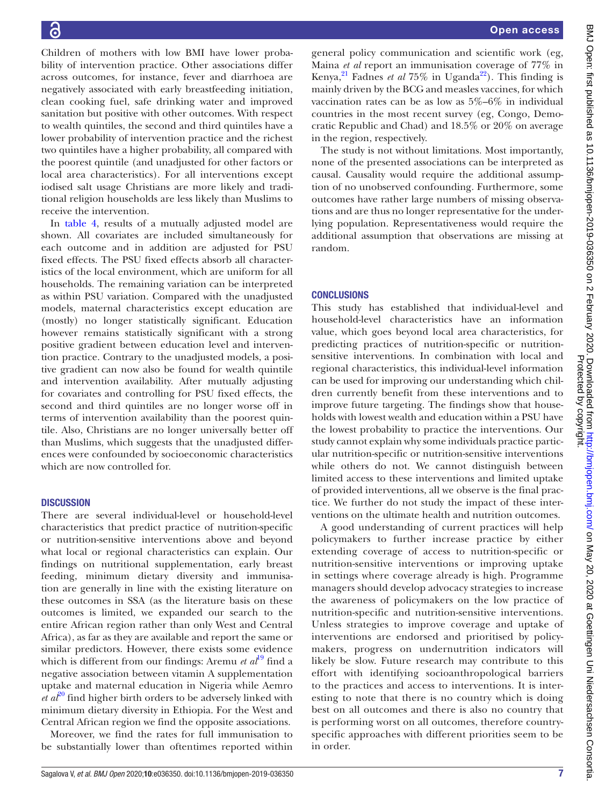Children of mothers with low BMI have lower probability of intervention practice. Other associations differ across outcomes, for instance, fever and diarrhoea are negatively associated with early breastfeeding initiation, clean cooking fuel, safe drinking water and improved sanitation but positive with other outcomes. With respect to wealth quintiles, the second and third quintiles have a lower probability of intervention practice and the richest two quintiles have a higher probability, all compared with the poorest quintile (and unadjusted for other factors or local area characteristics). For all interventions except iodised salt usage Christians are more likely and traditional religion households are less likely than Muslims to receive the intervention.

In [table](#page-7-0) 4, results of a mutually adjusted model are shown. All covariates are included simultaneously for each outcome and in addition are adjusted for PSU fixed effects. The PSU fixed effects absorb all characteristics of the local environment, which are uniform for all households. The remaining variation can be interpreted as within PSU variation. Compared with the unadjusted models, maternal characteristics except education are (mostly) no longer statistically significant. Education however remains statistically significant with a strong positive gradient between education level and intervention practice. Contrary to the unadjusted models, a positive gradient can now also be found for wealth quintile and intervention availability. After mutually adjusting for covariates and controlling for PSU fixed effects, the second and third quintiles are no longer worse off in terms of intervention availability than the poorest quintile. Also, Christians are no longer universally better off than Muslims, which suggests that the unadjusted differences were confounded by socioeconomic characteristics which are now controlled for.

# **DISCUSSION**

There are several individual-level or household-level characteristics that predict practice of nutrition-specific or nutrition-sensitive interventions above and beyond what local or regional characteristics can explain. Our findings on nutritional supplementation, early breast feeding, minimum dietary diversity and immunisation are generally in line with the existing literature on these outcomes in SSA (as the literature basis on these outcomes is limited, we expanded our search to the entire African region rather than only West and Central Africa), as far as they are available and report the same or similar predictors. However, there exists some evidence which is different from our findings: Aremu *et al*<sup>19</sup> find a negative association between vitamin A supplementation uptake and maternal education in Nigeria while Aemro *et al*<sup>20</sup> find higher birth orders to be adversely linked with minimum dietary diversity in Ethiopia. For the West and Central African region we find the opposite associations.

Moreover, we find the rates for full immunisation to be substantially lower than oftentimes reported within

general policy communication and scientific work (eg, Maina *et al* report an immunisation coverage of 77% in Kenya,<sup>21</sup> Fadnes *et al* 75% in Uganda<sup>[22](#page-8-18)</sup>). This finding is mainly driven by the BCG and measles vaccines, for which vaccination rates can be as low as 5%–6% in individual countries in the most recent survey (eg, Congo, Democratic Republic and Chad) and 18.5% or 20% on average in the region, respectively.

The study is not without limitations. Most importantly, none of the presented associations can be interpreted as causal. Causality would require the additional assumption of no unobserved confounding. Furthermore, some outcomes have rather large numbers of missing observations and are thus no longer representative for the underlying population. Representativeness would require the additional assumption that observations are missing at random.

# **CONCLUSIONS**

This study has established that individual-level and household-level characteristics have an information value, which goes beyond local area characteristics, for predicting practices of nutrition-specific or nutritionsensitive interventions. In combination with local and regional characteristics, this individual-level information can be used for improving our understanding which children currently benefit from these interventions and to improve future targeting. The findings show that households with lowest wealth and education within a PSU have the lowest probability to practice the interventions. Our study cannot explain why some individuals practice particular nutrition-specific or nutrition-sensitive interventions while others do not. We cannot distinguish between limited access to these interventions and limited uptake of provided interventions, all we observe is the final practice. We further do not study the impact of these interventions on the ultimate health and nutrition outcomes.

A good understanding of current practices will help policymakers to further increase practice by either extending coverage of access to nutrition-specific or nutrition-sensitive interventions or improving uptake in settings where coverage already is high. Programme managers should develop advocacy strategies to increase the awareness of policymakers on the low practice of nutrition-specific and nutrition-sensitive interventions. Unless strategies to improve coverage and uptake of interventions are endorsed and prioritised by policymakers, progress on undernutrition indicators will likely be slow. Future research may contribute to this effort with identifying socioanthropological barriers to the practices and access to interventions. It is interesting to note that there is no country which is doing best on all outcomes and there is also no country that is performing worst on all outcomes, therefore countryspecific approaches with different priorities seem to be in order.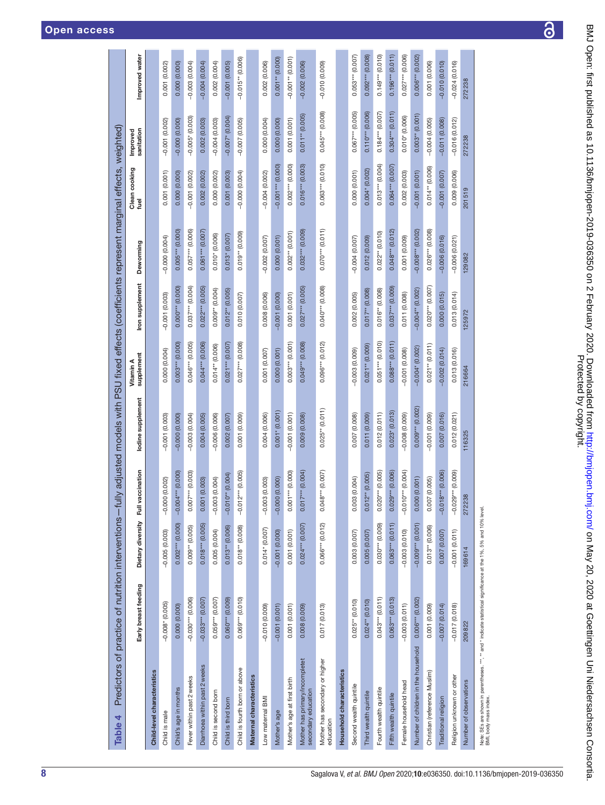| <b>Open access</b> |  |
|--------------------|--|
|                    |  |

<span id="page-7-0"></span>Table 4 Predictors of practice of nutrition interventions—fully adjusted models with PSU fixed effects (coefficients represent marginal effects, weighted)

Table 4 Predictors of practice of nutrition interventions-fully adjusted models with PSU fixed effects (coefficients represent marginal effects, weighted)

| $-0.006(0.016)$ | $-0.001(0.007)$ | $-0.011(0.008)$ | $-0.010(0.010)$ |
|-----------------|-----------------|-----------------|-----------------|
| $-0.006(0.021)$ | 0.009 (0.006)   | $-0.016(0.012)$ | $-0.024(0.016)$ |
| 129082          | 201519          | 272238          | 272238          |
|                 |                 |                 |                 |
|                 |                 |                 |                 |
|                 |                 |                 |                 |
|                 |                 |                 |                 |

3

|                                                                                                                                          | Early breast feeding          | Dietary diversity   | Full vaccination    | lodine supplement  | supplement<br>Vitamin A | Iron supplement    | Deworming             | Clean cooking<br>fuel | sanitation<br>Improved | Improved water       |
|------------------------------------------------------------------------------------------------------------------------------------------|-------------------------------|---------------------|---------------------|--------------------|-------------------------|--------------------|-----------------------|-----------------------|------------------------|----------------------|
| Child-level characteristics                                                                                                              |                               |                     |                     |                    |                         |                    |                       |                       |                        |                      |
| Child is male                                                                                                                            | $-0.008$ (0.005)              | $-0.005(0.003)$     | $-0.000(0.002)$     | $-0.001(0.003)$    | 0.000 (0.004)           | $-0.001(0.003)$    | $-0.000(0.004)$       | 0.001(0.001)          | $-0.001(0.002)$        | 0.001 (0.002)        |
| Child's age in months                                                                                                                    | 0.000 (0.000)                 | $0.002***$ (0.000)  | $-0.004***$ (0.000) | $-0.000(0.000)$    | $0.003***$ (0.000)      | $0.000***$ (0.000) | $0.005***$ (0.000)    | 0.000 (0.000)         | $-0.000(0.000)$        | 0.000 (0.000)        |
| Fever within past 2 weeks                                                                                                                | $-0.030***$ (0.006)           | $0.009**$ (0.005)   | $0.007***$ (0.003)  | $-0.003(0.004)$    | $0.046***$ (0.005)      | $0.037***$ (0.004) | $0.057***$ (0.006)    | $-0.001(0.002)$       | $-0.005*$ (0.003)      | $-0.003(0.004)$      |
| Diarrhoea within past 2 weeks                                                                                                            | $-0.033***$ (0.007)           | $0.018***$ (0.005)  | 0.001 (0.003)       | 0.004 (0.005)      | 0.044*** (0.006)        | $0.022***$ (0.005) | $0.061***$ (0.007)    | 0.002 (0.002)         | 0.002 (0.003)          | $-0.004(0.004)$      |
| Child is second born                                                                                                                     | $0.059***$ $(0.007)$          | 0.005(0.004)        | $-0.003(0.004)$     | $-0.006(0.006)$    | $0.014**$ (0.006)       | $0.009**$ (0.004)  | 0.010* (0.006)        | 0.000 (0.002)         | $-0.004(0.003)$        | 0.002(0.004)         |
| Child is third born                                                                                                                      | $0.060***$ (0.009)            | $0.013**$ $(0.006)$ | $-0.010**$ (0.004)  | 0.002 (0.007)      | $0.021***$ (0.007)      | $0.012**$ (0.005)  | $0.013* (0.007)$      | 0.001 (0.003)         | $-0.007$ $*$ (0.004)   | $-0.001(0.005)$      |
| Child is fourth born or above                                                                                                            | $0.069***$ (0.010)            | $0.018**$ (0.008)   | $-0.012***$ (0.005) | 0.001 (0.009)      | $0.027***$ (0.008)      | 0.010 (0.007)      | $0.019**$ (0.009)     | $-0.000(0.004)$       | $-0.007(0.005)$        | $-0.015**$ (0.006)   |
| Maternal characteristics                                                                                                                 |                               |                     |                     |                    |                         |                    |                       |                       |                        |                      |
| Low maternal BMI                                                                                                                         | $-0.010(0.009)$               | $0.014*(0.007)$     | $-0.003(0.003)$     | 0.004 (0.006)      | 0.001 (0.007)           | 0.008 (0.006)      | $-0.002(0.007)$       | $-0.004(0.002)$       | 0.000 (0.004)          | 0.002 (0.006)        |
| Mother's age                                                                                                                             | $-0.001(0.001)$               | $-0.001(0.000)$     | $-0.000(0.000)$     | $0.001*(0.001)$    | 0.000(0.001)            | $-0.001(0.000)$    | 0.000(0.001)          | $-0.001***$ (0.000)   | 0.000 (0.000)          | $0.001**$ (0.000)    |
| Mother's age at first birth                                                                                                              | 0.001(0.001)                  | 0.001(0.001)        | $0.001***$ (0.000)  | $-0.001(0.001)$    | $0.003***$ (0.001)      | 0.001(0.001)       | $0.002**$ (0.001)     | $0.002***$ (0.000)    | 0.001(0.001)           | $-0.001**$ (0.001)   |
| Mother has primary/incompletet<br>secondary education                                                                                    | 0.008(0.009)                  | $0.024***$ (0.007)  | $0.017***$ (0.004)  | 0.009(0.008)       | $0.049***$ (0.008)      | $0.027***$ (0.005) | (600.0)<br>$0.032***$ | $0.016***$ (0.003)    | $0.011**$ (0.005)      | $-0.002(0.006)$      |
| Mother has secondary or higher<br>education                                                                                              | 0.017(0.013)                  | $0.066***$ (0.012)  | $0.048***$ (0.007)  | $0.025**$ (0.011)  | $0.096***$ (0.012)      | $0.040***$ (0.008) | $0.070***$ (0.011)    | $0.063***$ (0.010)    | $0.045***$ (0.008)     | $-0.010(0.009)$      |
| Household characteristics                                                                                                                |                               |                     |                     |                    |                         |                    |                       |                       |                        |                      |
| Second wealth quintile                                                                                                                   | $0.025**$ (0.010)             | 0.003(0.007)        | 0.003 (0.004)       | 0.007 (0.008)      | $-0.003(0.009)$         | 0.002(0.005)       | $-0.004(0.007)$       | 0.000(0.001)          | $0.067***$ (0.005)     | $0.053***$ (0.007)   |
| Third wealth quintile                                                                                                                    | $0.024$ <sup>**</sup> (0.010) | 0.005(0.007)        | $0.012**$ (0.005)   | 0.011 (0.009)      | $0.021**$ (0.009)       | $0.017**$ (0.008)  | 0.012(0.009)          | $0.004*(0.002)$       | $0.110***$ (0.006)     | $0.092***$ (0.008)   |
| Fourth wealth quintile                                                                                                                   | $0.043***$ $(0.011)$          | $0.030***$ (0.009)  | $0.020***$ (0.005)  | 0.012(0.011)       | $0.051***$ (0.010)      | $0.016**$ (0.008)  | $0.022**$ (0.010)     | $0.013***$ (0.004)    | $0.184***$ (0.007)     | $0.149***$ (0.010)   |
| Fifth wealth quintile                                                                                                                    | $0.063***$ (0.013)            | $0.063***$ (0.011)  | $0.029***$ (0.006)  | $0.023*(0.013)$    | $0.088***$ (0.011)      | $0.037***$ (0.009) | $0.048***$ (0.012)    | $0.064***$ (0.007)    | $0.304***$ (0.011)     | $0.196***$ (0.011)   |
| Female household head                                                                                                                    | $-0.003(0.011)$               | $-0.003(0.010)$     | $-0.010***$ (0.004) | $-0.008(0.009)$    | $-0.001(0.008)$         | 0.011 (0.008)      | 0.001 (0.009)         | 0.002 (0.003)         | 0.010* (0.006)         | $0.027***$ (0.006)   |
| Number of children in the household                                                                                                      | $0.006***$ (0.002)            | $-0.009***$ (0.001) | 0.000 (0.001)       | $0.009***$ (0.002) | $-0.004*(0.002)$        | $-0.004**$ (0.002) | $-0.008***$ (0.002)   | $-0.001(0.001)$       | $0.003**$ (0.001)      | $0.006***$ $(0.002)$ |
| Christian (reference Muslim)                                                                                                             | 0.001 (0.009)                 | $0.013**$ (0.006)   | 0.007 (0.005)       | $-0.001(0.009)$    | $0.021**$ (0.011)       | $0.020***$ (0.007) | $0.026***$ (0.008)    | $0.014**$ (0.006)     | $-0.004(0.005)$        | 0.001 (0.006)        |
| Traditional religion                                                                                                                     | $-0.007(0.014)$               | 0.007(0.007)        | $-0.018***$ (0.006) | 0.007(0.016)       | $-0.002(0.014)$         | 0.000(0.015)       | $-0.006(0.016)$       | $-0.001(0.007)$       | $-0.011(0.008)$        | $-0.010(0.010)$      |
| Religion unknown or other                                                                                                                | $-0.017(0.018)$               | $-0.001(0.011)$     | $-0.029***$ (0.009) | 0.012 (0.021)      | 0.013 (0.016)           | 0.013(0.014)       | $-0.006(0.021)$       | 0.009 (0.006)         | $-0.016(0.012)$        | $-0.024(0.016)$      |
| Number of observations                                                                                                                   | 209822                        | 169614              | 272238              | 116325             | 216664                  | 125972             | 129082                | 201519                | 272238                 | 272238               |
| Note: SEs are shown in parentheses. "**, "* and " indicate statistical significance at the 1%, 5% and 10% level<br>BMI, body mass index. |                               |                     |                     |                    |                         |                    |                       |                       |                        |                      |

 $0.053***$  (0.007)

 $0.149***$  (0.010)  $0.196***$  (0.011)  $0.027***$   $(0.006)$  $0.006***$  (0.002)